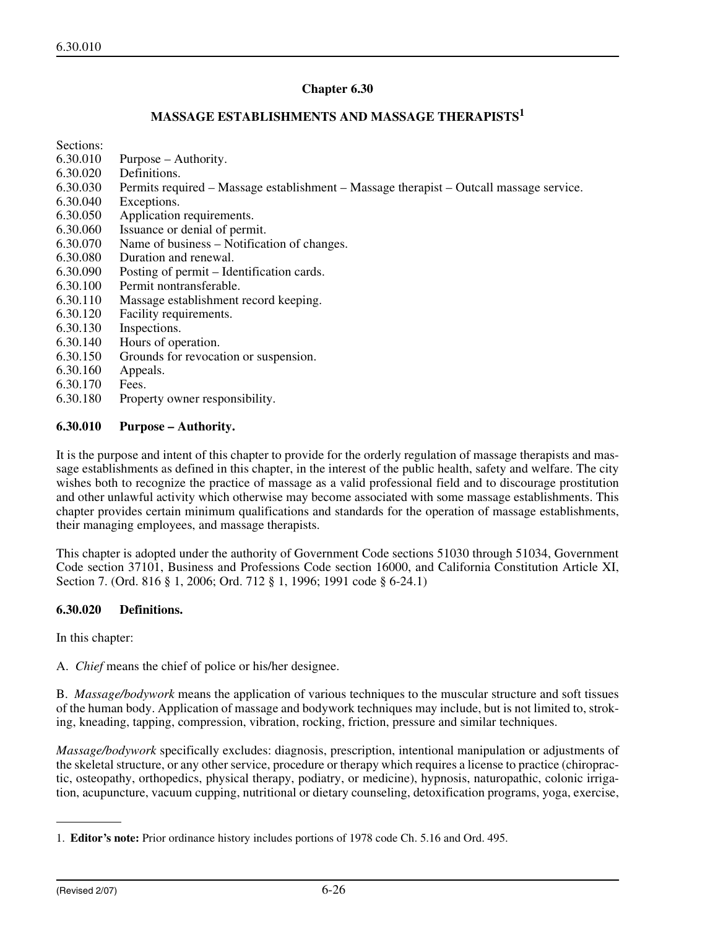## **Chapter 6.30**

## **MASSAGE ESTABLISHMENTS AND MASSAGE THERAPISTS<sup>1</sup>**

Sections:

- 6.30.010 Purpose Authority.
- 6.30.020 Definitions.
- 6.30.030 Permits required Massage establishment Massage therapist Outcall massage service.
- 6.30.040 Exceptions.
- 6.30.050 Application requirements.
- 6.30.060 Issuance or denial of permit.
- 6.30.070 Name of business Notification of changes.
- 6.30.080 Duration and renewal.
- 6.30.090 Posting of permit Identification cards.
- 6.30.100 Permit nontransferable.
- 6.30.110 Massage establishment record keeping.
- 6.30.120 Facility requirements.
- 6.30.130 Inspections.
- 6.30.140 Hours of operation.
- 6.30.150 Grounds for revocation or suspension.
- 6.30.160 Appeals.
- 6.30.170 Fees.
- 6.30.180 Property owner responsibility.

#### **6.30.010 Purpose – Authority.**

It is the purpose and intent of this chapter to provide for the orderly regulation of massage therapists and massage establishments as defined in this chapter, in the interest of the public health, safety and welfare. The city wishes both to recognize the practice of massage as a valid professional field and to discourage prostitution and other unlawful activity which otherwise may become associated with some massage establishments. This chapter provides certain minimum qualifications and standards for the operation of massage establishments, their managing employees, and massage therapists.

This chapter is adopted under the authority of Government Code sections 51030 through 51034, Government Code section 37101, Business and Professions Code section 16000, and California Constitution Article XI, Section 7. (Ord. 816 § 1, 2006; Ord. 712 § 1, 1996; 1991 code § 6-24.1)

## **6.30.020 Definitions.**

In this chapter:

A. *Chief* means the chief of police or his/her designee.

B. *Massage/bodywork* means the application of various techniques to the muscular structure and soft tissues of the human body. Application of massage and bodywork techniques may include, but is not limited to, stroking, kneading, tapping, compression, vibration, rocking, friction, pressure and similar techniques.

*Massage/bodywork* specifically excludes: diagnosis, prescription, intentional manipulation or adjustments of the skeletal structure, or any other service, procedure or therapy which requires a license to practice (chiropractic, osteopathy, orthopedics, physical therapy, podiatry, or medicine), hypnosis, naturopathic, colonic irrigation, acupuncture, vacuum cupping, nutritional or dietary counseling, detoxification programs, yoga, exercise,

<sup>1.</sup> **Editor's note:** Prior ordinance history includes portions of 1978 code Ch. 5.16 and Ord. 495.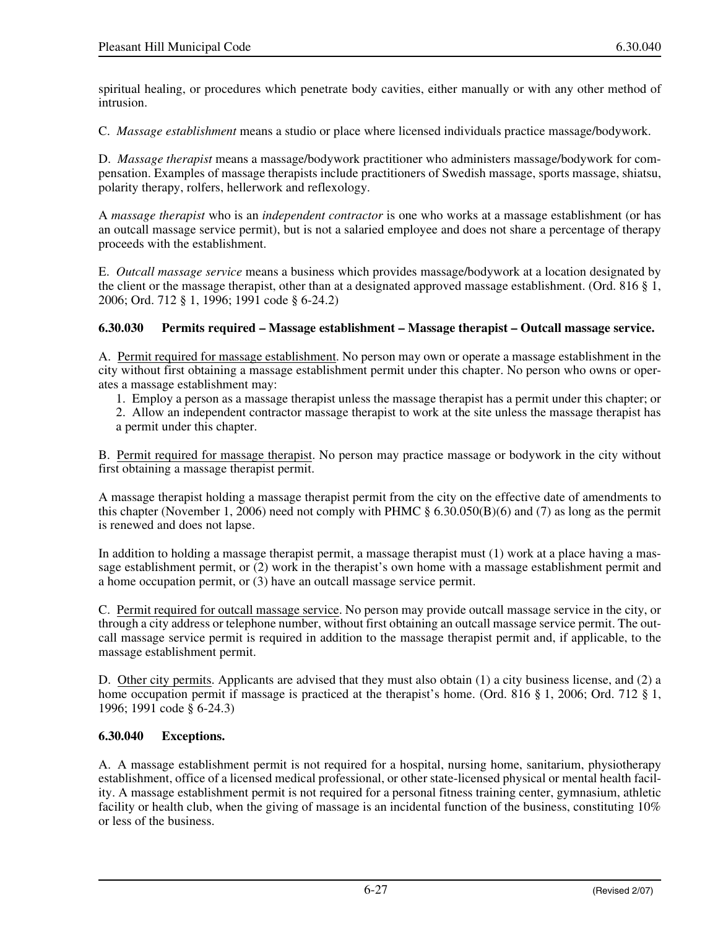spiritual healing, or procedures which penetrate body cavities, either manually or with any other method of intrusion.

C. *Massage establishment* means a studio or place where licensed individuals practice massage/bodywork.

D. *Massage therapist* means a massage/bodywork practitioner who administers massage/bodywork for compensation. Examples of massage therapists include practitioners of Swedish massage, sports massage, shiatsu, polarity therapy, rolfers, hellerwork and reflexology.

A *massage therapist* who is an *independent contractor* is one who works at a massage establishment (or has an outcall massage service permit), but is not a salaried employee and does not share a percentage of therapy proceeds with the establishment.

E. *Outcall massage service* means a business which provides massage/bodywork at a location designated by the client or the massage therapist, other than at a designated approved massage establishment. (Ord. 816 § 1, 2006; Ord. 712 § 1, 1996; 1991 code § 6-24.2)

# **6.30.030 Permits required – Massage establishment – Massage therapist – Outcall massage service.**

A. Permit required for massage establishment. No person may own or operate a massage establishment in the city without first obtaining a massage establishment permit under this chapter. No person who owns or operates a massage establishment may:

1. Employ a person as a massage therapist unless the massage therapist has a permit under this chapter; or

2. Allow an independent contractor massage therapist to work at the site unless the massage therapist has a permit under this chapter.

B. Permit required for massage therapist. No person may practice massage or bodywork in the city without first obtaining a massage therapist permit.

A massage therapist holding a massage therapist permit from the city on the effective date of amendments to this chapter (November 1, 2006) need not comply with PHMC § 6.30.050(B)(6) and (7) as long as the permit is renewed and does not lapse.

In addition to holding a massage therapist permit, a massage therapist must (1) work at a place having a massage establishment permit, or (2) work in the therapist's own home with a massage establishment permit and a home occupation permit, or (3) have an outcall massage service permit.

C. Permit required for outcall massage service. No person may provide outcall massage service in the city, or through a city address or telephone number, without first obtaining an outcall massage service permit. The outcall massage service permit is required in addition to the massage therapist permit and, if applicable, to the massage establishment permit.

D. Other city permits. Applicants are advised that they must also obtain (1) a city business license, and (2) a home occupation permit if massage is practiced at the therapist's home. (Ord. 816 § 1, 2006; Ord. 712 § 1, 1996; 1991 code § 6-24.3)

## **6.30.040 Exceptions.**

A. A massage establishment permit is not required for a hospital, nursing home, sanitarium, physiotherapy establishment, office of a licensed medical professional, or other state-licensed physical or mental health facility. A massage establishment permit is not required for a personal fitness training center, gymnasium, athletic facility or health club, when the giving of massage is an incidental function of the business, constituting 10% or less of the business.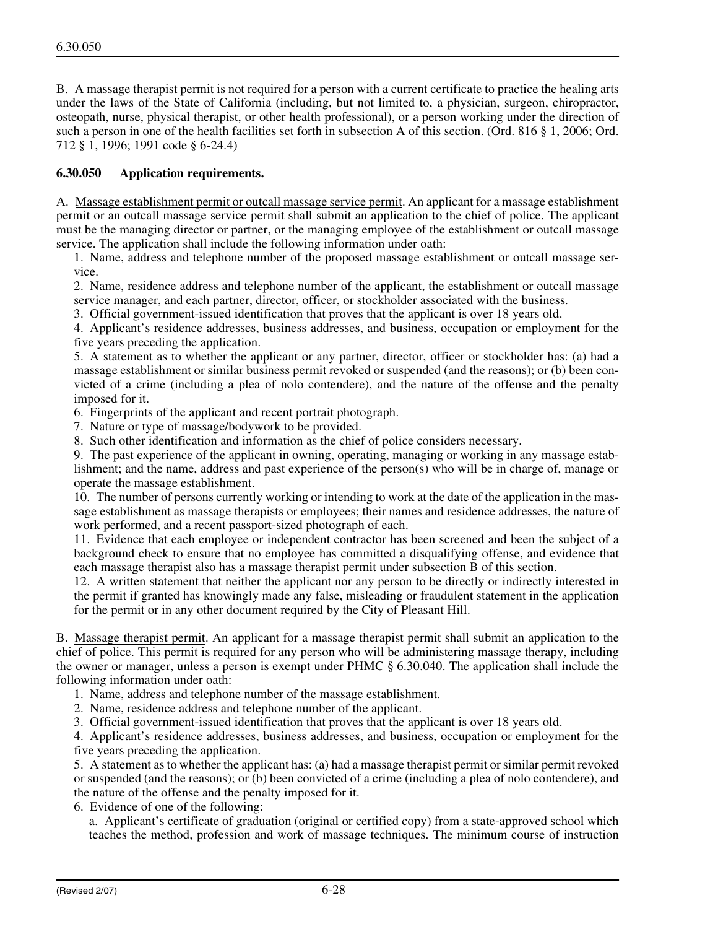B. A massage therapist permit is not required for a person with a current certificate to practice the healing arts under the laws of the State of California (including, but not limited to, a physician, surgeon, chiropractor, osteopath, nurse, physical therapist, or other health professional), or a person working under the direction of such a person in one of the health facilities set forth in subsection A of this section. (Ord. 816 § 1, 2006; Ord. 712 § 1, 1996; 1991 code § 6-24.4)

## **6.30.050 Application requirements.**

A. Massage establishment permit or outcall massage service permit. An applicant for a massage establishment permit or an outcall massage service permit shall submit an application to the chief of police. The applicant must be the managing director or partner, or the managing employee of the establishment or outcall massage service. The application shall include the following information under oath:

1. Name, address and telephone number of the proposed massage establishment or outcall massage service.

2. Name, residence address and telephone number of the applicant, the establishment or outcall massage service manager, and each partner, director, officer, or stockholder associated with the business.

3. Official government-issued identification that proves that the applicant is over 18 years old.

4. Applicant's residence addresses, business addresses, and business, occupation or employment for the five years preceding the application.

5. A statement as to whether the applicant or any partner, director, officer or stockholder has: (a) had a massage establishment or similar business permit revoked or suspended (and the reasons); or (b) been convicted of a crime (including a plea of nolo contendere), and the nature of the offense and the penalty imposed for it.

6. Fingerprints of the applicant and recent portrait photograph.

7. Nature or type of massage/bodywork to be provided.

8. Such other identification and information as the chief of police considers necessary.

9. The past experience of the applicant in owning, operating, managing or working in any massage establishment; and the name, address and past experience of the person(s) who will be in charge of, manage or operate the massage establishment.

10. The number of persons currently working or intending to work at the date of the application in the massage establishment as massage therapists or employees; their names and residence addresses, the nature of work performed, and a recent passport-sized photograph of each.

11. Evidence that each employee or independent contractor has been screened and been the subject of a background check to ensure that no employee has committed a disqualifying offense, and evidence that each massage therapist also has a massage therapist permit under subsection B of this section.

12. A written statement that neither the applicant nor any person to be directly or indirectly interested in the permit if granted has knowingly made any false, misleading or fraudulent statement in the application for the permit or in any other document required by the City of Pleasant Hill.

B. Massage therapist permit. An applicant for a massage therapist permit shall submit an application to the chief of police. This permit is required for any person who will be administering massage therapy, including the owner or manager, unless a person is exempt under PHMC § 6.30.040. The application shall include the following information under oath:

1. Name, address and telephone number of the massage establishment.

2. Name, residence address and telephone number of the applicant.

3. Official government-issued identification that proves that the applicant is over 18 years old.

4. Applicant's residence addresses, business addresses, and business, occupation or employment for the five years preceding the application.

5. A statement as to whether the applicant has: (a) had a massage therapist permit or similar permit revoked or suspended (and the reasons); or (b) been convicted of a crime (including a plea of nolo contendere), and the nature of the offense and the penalty imposed for it.

6. Evidence of one of the following:

a. Applicant's certificate of graduation (original or certified copy) from a state-approved school which teaches the method, profession and work of massage techniques. The minimum course of instruction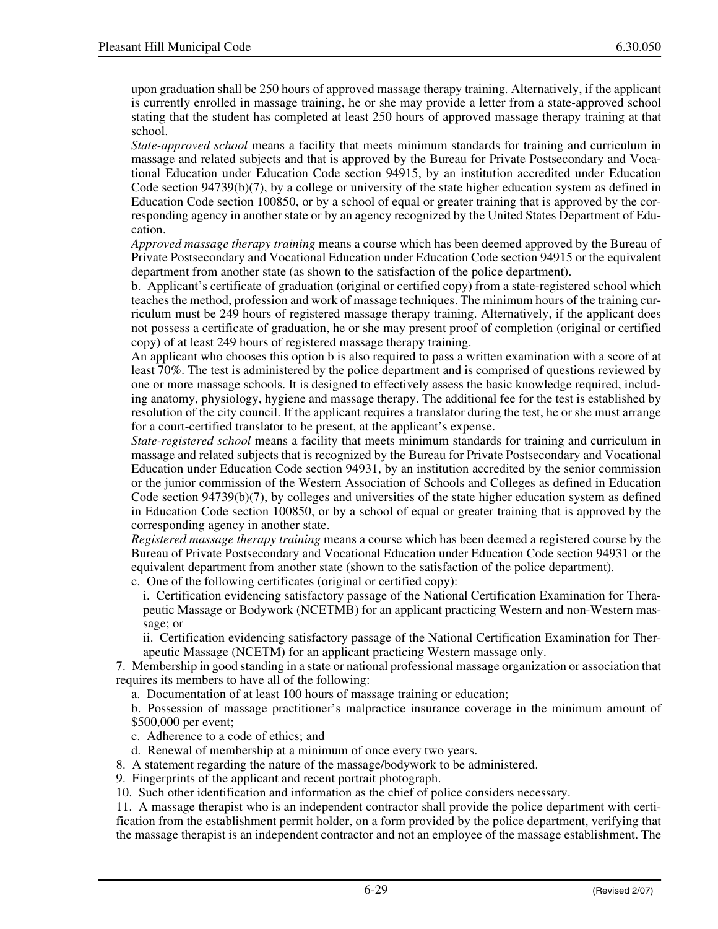upon graduation shall be 250 hours of approved massage therapy training. Alternatively, if the applicant is currently enrolled in massage training, he or she may provide a letter from a state-approved school stating that the student has completed at least 250 hours of approved massage therapy training at that school.

*State-approved school* means a facility that meets minimum standards for training and curriculum in massage and related subjects and that is approved by the Bureau for Private Postsecondary and Vocational Education under Education Code section 94915, by an institution accredited under Education Code section 94739(b)(7), by a college or university of the state higher education system as defined in Education Code section 100850, or by a school of equal or greater training that is approved by the corresponding agency in another state or by an agency recognized by the United States Department of Education.

*Approved massage therapy training* means a course which has been deemed approved by the Bureau of Private Postsecondary and Vocational Education under Education Code section 94915 or the equivalent department from another state (as shown to the satisfaction of the police department).

b. Applicant's certificate of graduation (original or certified copy) from a state-registered school which teaches the method, profession and work of massage techniques. The minimum hours of the training curriculum must be 249 hours of registered massage therapy training. Alternatively, if the applicant does not possess a certificate of graduation, he or she may present proof of completion (original or certified copy) of at least 249 hours of registered massage therapy training.

An applicant who chooses this option b is also required to pass a written examination with a score of at least 70%. The test is administered by the police department and is comprised of questions reviewed by one or more massage schools. It is designed to effectively assess the basic knowledge required, including anatomy, physiology, hygiene and massage therapy. The additional fee for the test is established by resolution of the city council. If the applicant requires a translator during the test, he or she must arrange for a court-certified translator to be present, at the applicant's expense.

*State-registered school* means a facility that meets minimum standards for training and curriculum in massage and related subjects that is recognized by the Bureau for Private Postsecondary and Vocational Education under Education Code section 94931, by an institution accredited by the senior commission or the junior commission of the Western Association of Schools and Colleges as defined in Education Code section 94739(b)(7), by colleges and universities of the state higher education system as defined in Education Code section 100850, or by a school of equal or greater training that is approved by the corresponding agency in another state.

*Registered massage therapy training* means a course which has been deemed a registered course by the Bureau of Private Postsecondary and Vocational Education under Education Code section 94931 or the equivalent department from another state (shown to the satisfaction of the police department).

c. One of the following certificates (original or certified copy):

i. Certification evidencing satisfactory passage of the National Certification Examination for Therapeutic Massage or Bodywork (NCETMB) for an applicant practicing Western and non-Western massage; or

ii. Certification evidencing satisfactory passage of the National Certification Examination for Therapeutic Massage (NCETM) for an applicant practicing Western massage only.

7. Membership in good standing in a state or national professional massage organization or association that requires its members to have all of the following:

a. Documentation of at least 100 hours of massage training or education;

b. Possession of massage practitioner's malpractice insurance coverage in the minimum amount of \$500,000 per event;

- c. Adherence to a code of ethics; and
- d. Renewal of membership at a minimum of once every two years.
- 8. A statement regarding the nature of the massage/bodywork to be administered.
- 9. Fingerprints of the applicant and recent portrait photograph.

10. Such other identification and information as the chief of police considers necessary.

11. A massage therapist who is an independent contractor shall provide the police department with certification from the establishment permit holder, on a form provided by the police department, verifying that the massage therapist is an independent contractor and not an employee of the massage establishment. The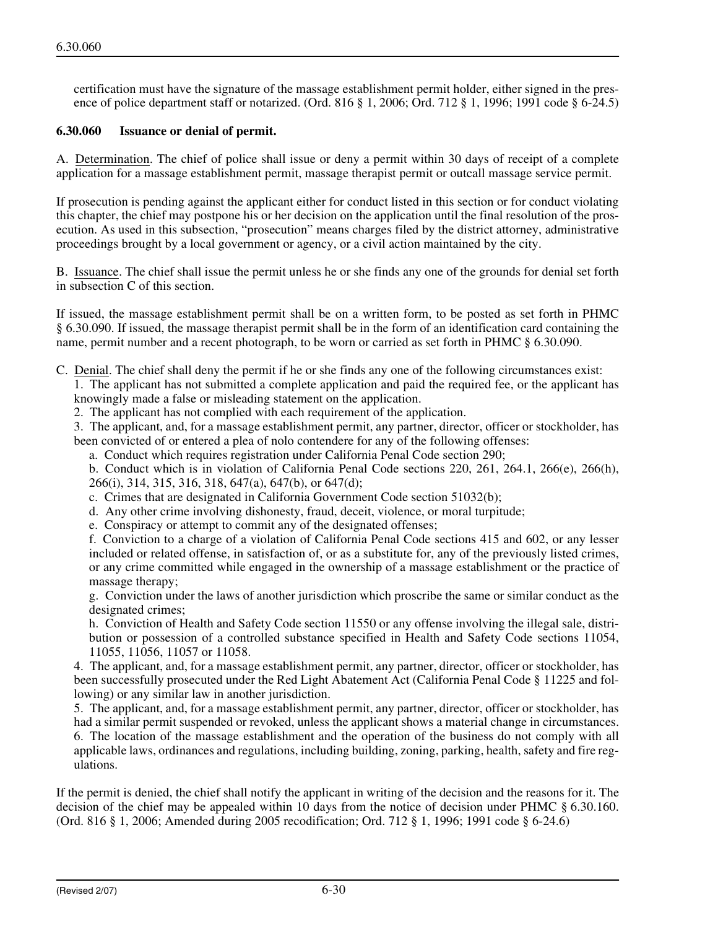certification must have the signature of the massage establishment permit holder, either signed in the presence of police department staff or notarized. (Ord. 816 § 1, 2006; Ord. 712 § 1, 1996; 1991 code § 6-24.5)

#### **6.30.060 Issuance or denial of permit.**

A. Determination. The chief of police shall issue or deny a permit within 30 days of receipt of a complete application for a massage establishment permit, massage therapist permit or outcall massage service permit.

If prosecution is pending against the applicant either for conduct listed in this section or for conduct violating this chapter, the chief may postpone his or her decision on the application until the final resolution of the prosecution. As used in this subsection, "prosecution" means charges filed by the district attorney, administrative proceedings brought by a local government or agency, or a civil action maintained by the city.

B. Issuance. The chief shall issue the permit unless he or she finds any one of the grounds for denial set forth in subsection C of this section.

If issued, the massage establishment permit shall be on a written form, to be posted as set forth in PHMC § 6.30.090. If issued, the massage therapist permit shall be in the form of an identification card containing the name, permit number and a recent photograph, to be worn or carried as set forth in PHMC § 6.30.090.

- C. Denial. The chief shall deny the permit if he or she finds any one of the following circumstances exist: 1. The applicant has not submitted a complete application and paid the required fee, or the applicant has knowingly made a false or misleading statement on the application.
	- 2. The applicant has not complied with each requirement of the application.
	- 3. The applicant, and, for a massage establishment permit, any partner, director, officer or stockholder, has been convicted of or entered a plea of nolo contendere for any of the following offenses:
		- a. Conduct which requires registration under California Penal Code section 290;
		- b. Conduct which is in violation of California Penal Code sections 220, 261, 264.1, 266(e), 266(h), 266(i), 314, 315, 316, 318, 647(a), 647(b), or 647(d);
		- c. Crimes that are designated in California Government Code section 51032(b);
		- d. Any other crime involving dishonesty, fraud, deceit, violence, or moral turpitude;
		- e. Conspiracy or attempt to commit any of the designated offenses;

f. Conviction to a charge of a violation of California Penal Code sections 415 and 602, or any lesser included or related offense, in satisfaction of, or as a substitute for, any of the previously listed crimes, or any crime committed while engaged in the ownership of a massage establishment or the practice of massage therapy;

g. Conviction under the laws of another jurisdiction which proscribe the same or similar conduct as the designated crimes;

h. Conviction of Health and Safety Code section 11550 or any offense involving the illegal sale, distribution or possession of a controlled substance specified in Health and Safety Code sections 11054, 11055, 11056, 11057 or 11058.

4. The applicant, and, for a massage establishment permit, any partner, director, officer or stockholder, has been successfully prosecuted under the Red Light Abatement Act (California Penal Code § 11225 and following) or any similar law in another jurisdiction.

5. The applicant, and, for a massage establishment permit, any partner, director, officer or stockholder, has had a similar permit suspended or revoked, unless the applicant shows a material change in circumstances. 6. The location of the massage establishment and the operation of the business do not comply with all applicable laws, ordinances and regulations, including building, zoning, parking, health, safety and fire regulations.

If the permit is denied, the chief shall notify the applicant in writing of the decision and the reasons for it. The decision of the chief may be appealed within 10 days from the notice of decision under PHMC § 6.30.160. (Ord. 816 § 1, 2006; Amended during 2005 recodification; Ord. 712 § 1, 1996; 1991 code § 6-24.6)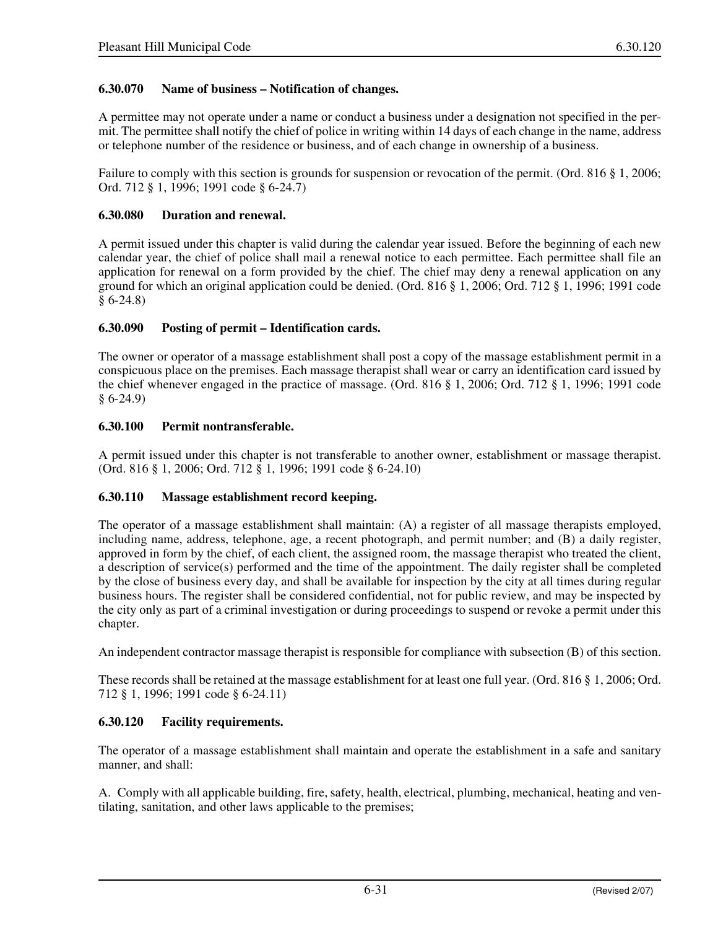## **6.30.070 Name of business – Notification of changes.**

A permittee may not operate under a name or conduct a business under a designation not specified in the permit. The permittee shall notify the chief of police in writing within 14 days of each change in the name, address or telephone number of the residence or business, and of each change in ownership of a business.

Failure to comply with this section is grounds for suspension or revocation of the permit. (Ord. 816 § 1, 2006; Ord. 712 § 1, 1996; 1991 code § 6-24.7)

## **6.30.080 Duration and renewal.**

A permit issued under this chapter is valid during the calendar year issued. Before the beginning of each new calendar year, the chief of police shall mail a renewal notice to each permittee. Each permittee shall file an application for renewal on a form provided by the chief. The chief may deny a renewal application on any ground for which an original application could be denied. (Ord. 816 § 1, 2006; Ord. 712 § 1, 1996; 1991 code  $§ 6-24.8)$ 

## **6.30.090 Posting of permit – Identification cards.**

The owner or operator of a massage establishment shall post a copy of the massage establishment permit in a conspicuous place on the premises. Each massage therapist shall wear or carry an identification card issued by the chief whenever engaged in the practice of massage. (Ord. 816 § 1, 2006; Ord. 712 § 1, 1996; 1991 code § 6-24.9)

## **6.30.100 Permit nontransferable.**

A permit issued under this chapter is not transferable to another owner, establishment or massage therapist. (Ord. 816 § 1, 2006; Ord. 712 § 1, 1996; 1991 code § 6-24.10)

# **6.30.110 Massage establishment record keeping.**

The operator of a massage establishment shall maintain: (A) a register of all massage therapists employed, including name, address, telephone, age, a recent photograph, and permit number; and (B) a daily register, approved in form by the chief, of each client, the assigned room, the massage therapist who treated the client, a description of service(s) performed and the time of the appointment. The daily register shall be completed by the close of business every day, and shall be available for inspection by the city at all times during regular business hours. The register shall be considered confidential, not for public review, and may be inspected by the city only as part of a criminal investigation or during proceedings to suspend or revoke a permit under this chapter.

An independent contractor massage therapist is responsible for compliance with subsection (B) of this section.

These records shall be retained at the massage establishment for at least one full year. (Ord. 816 § 1, 2006; Ord. 712 § 1, 1996; 1991 code § 6-24.11)

# **6.30.120 Facility requirements.**

The operator of a massage establishment shall maintain and operate the establishment in a safe and sanitary manner, and shall:

A. Comply with all applicable building, fire, safety, health, electrical, plumbing, mechanical, heating and ventilating, sanitation, and other laws applicable to the premises;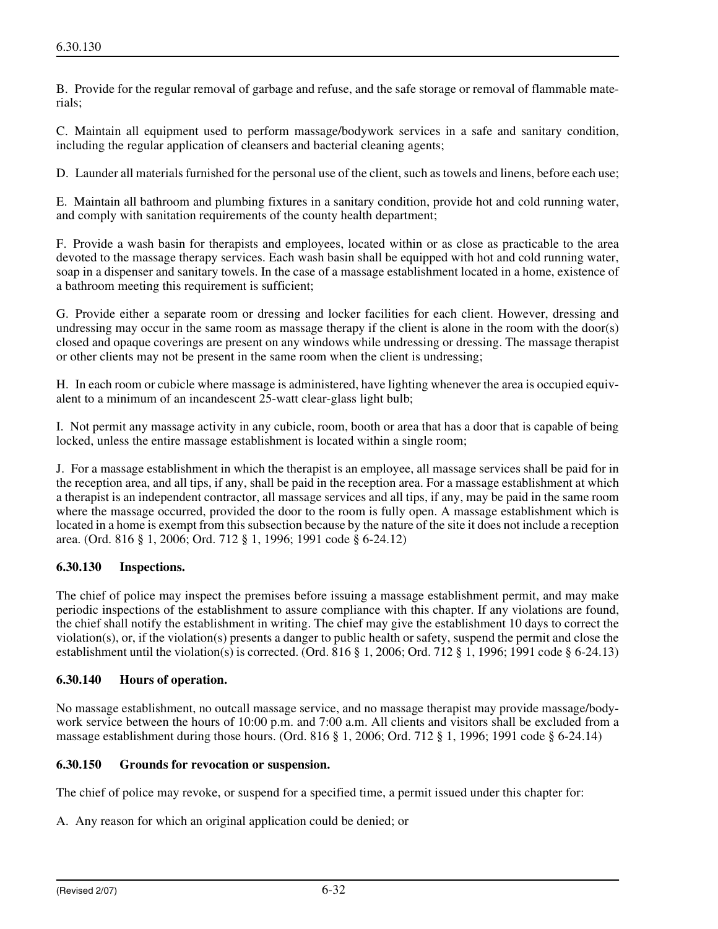B. Provide for the regular removal of garbage and refuse, and the safe storage or removal of flammable materials;

C. Maintain all equipment used to perform massage/bodywork services in a safe and sanitary condition, including the regular application of cleansers and bacterial cleaning agents;

D. Launder all materials furnished for the personal use of the client, such as towels and linens, before each use;

E. Maintain all bathroom and plumbing fixtures in a sanitary condition, provide hot and cold running water, and comply with sanitation requirements of the county health department;

F. Provide a wash basin for therapists and employees, located within or as close as practicable to the area devoted to the massage therapy services. Each wash basin shall be equipped with hot and cold running water, soap in a dispenser and sanitary towels. In the case of a massage establishment located in a home, existence of a bathroom meeting this requirement is sufficient;

G. Provide either a separate room or dressing and locker facilities for each client. However, dressing and undressing may occur in the same room as massage therapy if the client is alone in the room with the door(s) closed and opaque coverings are present on any windows while undressing or dressing. The massage therapist or other clients may not be present in the same room when the client is undressing;

H. In each room or cubicle where massage is administered, have lighting whenever the area is occupied equivalent to a minimum of an incandescent 25-watt clear-glass light bulb;

I. Not permit any massage activity in any cubicle, room, booth or area that has a door that is capable of being locked, unless the entire massage establishment is located within a single room;

J. For a massage establishment in which the therapist is an employee, all massage services shall be paid for in the reception area, and all tips, if any, shall be paid in the reception area. For a massage establishment at which a therapist is an independent contractor, all massage services and all tips, if any, may be paid in the same room where the massage occurred, provided the door to the room is fully open. A massage establishment which is located in a home is exempt from this subsection because by the nature of the site it does not include a reception area. (Ord. 816 § 1, 2006; Ord. 712 § 1, 1996; 1991 code § 6-24.12)

## **6.30.130 Inspections.**

The chief of police may inspect the premises before issuing a massage establishment permit, and may make periodic inspections of the establishment to assure compliance with this chapter. If any violations are found, the chief shall notify the establishment in writing. The chief may give the establishment 10 days to correct the violation(s), or, if the violation(s) presents a danger to public health or safety, suspend the permit and close the establishment until the violation(s) is corrected. (Ord. 816 § 1, 2006; Ord. 712 § 1, 1996; 1991 code § 6-24.13)

## **6.30.140 Hours of operation.**

No massage establishment, no outcall massage service, and no massage therapist may provide massage/bodywork service between the hours of 10:00 p.m. and 7:00 a.m. All clients and visitors shall be excluded from a massage establishment during those hours. (Ord. 816 § 1, 2006; Ord. 712 § 1, 1996; 1991 code § 6-24.14)

## **6.30.150 Grounds for revocation or suspension.**

The chief of police may revoke, or suspend for a specified time, a permit issued under this chapter for:

A. Any reason for which an original application could be denied; or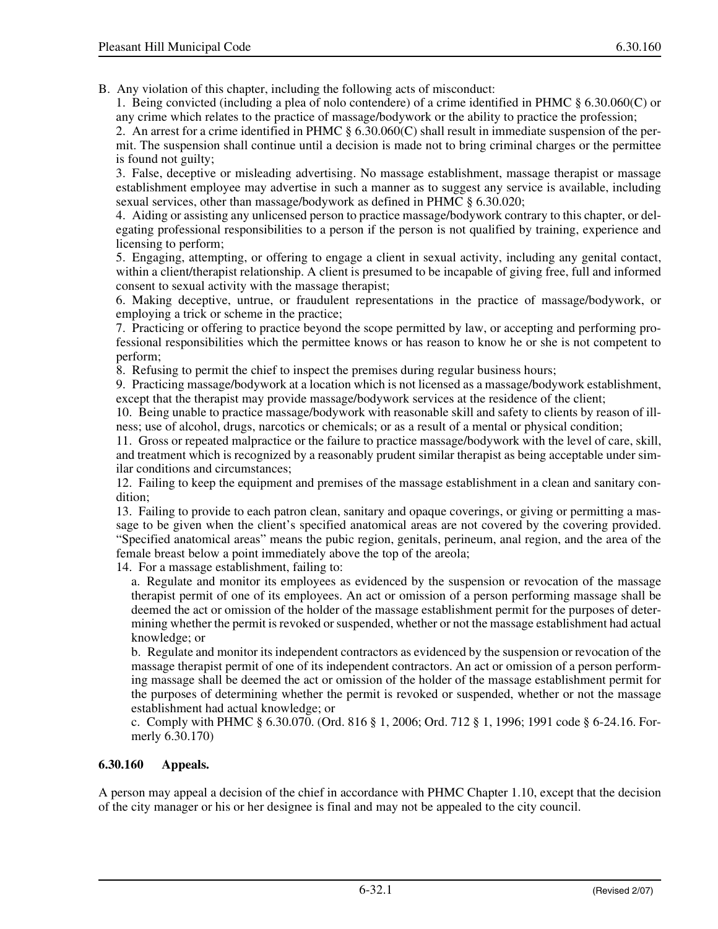B. Any violation of this chapter, including the following acts of misconduct:

1. Being convicted (including a plea of nolo contendere) of a crime identified in PHMC § 6.30.060(C) or any crime which relates to the practice of massage/bodywork or the ability to practice the profession;

2. An arrest for a crime identified in PHMC § 6.30.060(C) shall result in immediate suspension of the permit. The suspension shall continue until a decision is made not to bring criminal charges or the permittee is found not guilty;

3. False, deceptive or misleading advertising. No massage establishment, massage therapist or massage establishment employee may advertise in such a manner as to suggest any service is available, including sexual services, other than massage/bodywork as defined in PHMC § 6.30.020;

4. Aiding or assisting any unlicensed person to practice massage/bodywork contrary to this chapter, or delegating professional responsibilities to a person if the person is not qualified by training, experience and licensing to perform;

5. Engaging, attempting, or offering to engage a client in sexual activity, including any genital contact, within a client/therapist relationship. A client is presumed to be incapable of giving free, full and informed consent to sexual activity with the massage therapist;

6. Making deceptive, untrue, or fraudulent representations in the practice of massage/bodywork, or employing a trick or scheme in the practice;

7. Practicing or offering to practice beyond the scope permitted by law, or accepting and performing professional responsibilities which the permittee knows or has reason to know he or she is not competent to perform;

8. Refusing to permit the chief to inspect the premises during regular business hours;

9. Practicing massage/bodywork at a location which is not licensed as a massage/bodywork establishment, except that the therapist may provide massage/bodywork services at the residence of the client;

10. Being unable to practice massage/bodywork with reasonable skill and safety to clients by reason of illness; use of alcohol, drugs, narcotics or chemicals; or as a result of a mental or physical condition;

11. Gross or repeated malpractice or the failure to practice massage/bodywork with the level of care, skill, and treatment which is recognized by a reasonably prudent similar therapist as being acceptable under similar conditions and circumstances;

12. Failing to keep the equipment and premises of the massage establishment in a clean and sanitary condition;

13. Failing to provide to each patron clean, sanitary and opaque coverings, or giving or permitting a massage to be given when the client's specified anatomical areas are not covered by the covering provided. "Specified anatomical areas" means the pubic region, genitals, perineum, anal region, and the area of the female breast below a point immediately above the top of the areola;

14. For a massage establishment, failing to:

a. Regulate and monitor its employees as evidenced by the suspension or revocation of the massage therapist permit of one of its employees. An act or omission of a person performing massage shall be deemed the act or omission of the holder of the massage establishment permit for the purposes of determining whether the permit is revoked or suspended, whether or not the massage establishment had actual knowledge; or

b. Regulate and monitor its independent contractors as evidenced by the suspension or revocation of the massage therapist permit of one of its independent contractors. An act or omission of a person performing massage shall be deemed the act or omission of the holder of the massage establishment permit for the purposes of determining whether the permit is revoked or suspended, whether or not the massage establishment had actual knowledge; or

c. Comply with PHMC § 6.30.070. (Ord. 816 § 1, 2006; Ord. 712 § 1, 1996; 1991 code § 6-24.16. Formerly 6.30.170)

# **6.30.160 Appeals.**

A person may appeal a decision of the chief in accordance with PHMC Chapter 1.10, except that the decision of the city manager or his or her designee is final and may not be appealed to the city council.